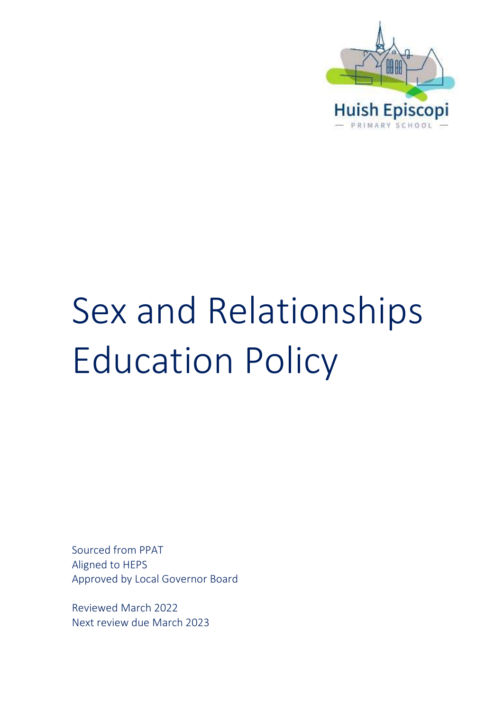

# Sex and Relationships Education Policy

Sourced from PPAT Aligned to HEPS Approved by Local Governor Board

Reviewed March 2022 Next review due March 2023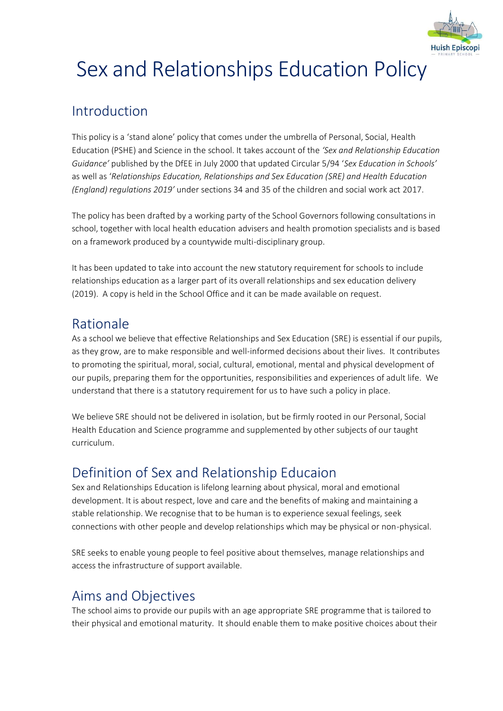

## Sex and Relationships Education Policy

## Introduction

This policy is a 'stand alone' policy that comes under the umbrella of Personal, Social, Health Education (PSHE) and Science in the school. It takes account of the *'Sex and Relationship Education Guidance'* published by the DfEE in July 2000 that updated Circular 5/94 '*Sex Education in Schools'* as well as '*Relationships Education, Relationships and Sex Education (SRE) and Health Education (England) regulations 2019'* under sections 34 and 35 of the children and social work act 2017.

The policy has been drafted by a working party of the School Governors following consultations in school, together with local health education advisers and health promotion specialists and is based on a framework produced by a countywide multi-disciplinary group.

It has been updated to take into account the new statutory requirement for schools to include relationships education as a larger part of its overall relationships and sex education delivery (2019). A copy is held in the School Office and it can be made available on request.

## Rationale

As a school we believe that effective Relationships and Sex Education (SRE) is essential if our pupils, as they grow, are to make responsible and well-informed decisions about their lives. It contributes to promoting the spiritual, moral, social, cultural, emotional, mental and physical development of our pupils, preparing them for the opportunities, responsibilities and experiences of adult life. We understand that there is a statutory requirement for us to have such a policy in place.

We believe SRE should not be delivered in isolation, but be firmly rooted in our Personal, Social Health Education and Science programme and supplemented by other subjects of our taught curriculum.

## Definition of Sex and Relationship Educaion

Sex and Relationships Education is lifelong learning about physical, moral and emotional development. It is about respect, love and care and the benefits of making and maintaining a stable relationship. We recognise that to be human is to experience sexual feelings, seek connections with other people and develop relationships which may be physical or non-physical.

SRE seeks to enable young people to feel positive about themselves, manage relationships and access the infrastructure of support available.

## Aims and Objectives

The school aims to provide our pupils with an age appropriate SRE programme that is tailored to their physical and emotional maturity. It should enable them to make positive choices about their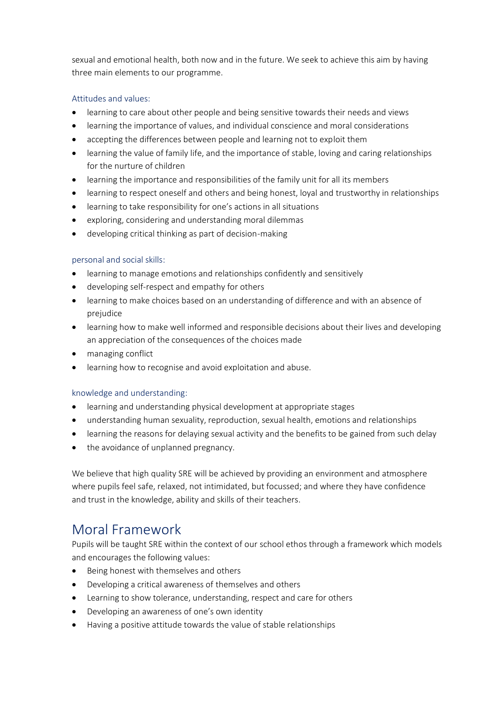sexual and emotional health, both now and in the future. We seek to achieve this aim by having three main elements to our programme.

#### Attitudes and values:

- learning to care about other people and being sensitive towards their needs and views
- learning the importance of values, and individual conscience and moral considerations
- accepting the differences between people and learning not to exploit them
- learning the value of family life, and the importance of stable, loving and caring relationships for the nurture of children
- learning the importance and responsibilities of the family unit for all its members
- learning to respect oneself and others and being honest, loyal and trustworthy in relationships
- learning to take responsibility for one's actions in all situations
- exploring, considering and understanding moral dilemmas
- developing critical thinking as part of decision-making

#### personal and social skills:

- learning to manage emotions and relationships confidently and sensitively
- developing self-respect and empathy for others
- learning to make choices based on an understanding of difference and with an absence of prejudice
- learning how to make well informed and responsible decisions about their lives and developing an appreciation of the consequences of the choices made
- managing conflict
- learning how to recognise and avoid exploitation and abuse.

#### knowledge and understanding:

- learning and understanding physical development at appropriate stages
- understanding human sexuality, reproduction, sexual health, emotions and relationships
- learning the reasons for delaying sexual activity and the benefits to be gained from such delay
- the avoidance of unplanned pregnancy.

We believe that high quality SRE will be achieved by providing an environment and atmosphere where pupils feel safe, relaxed, not intimidated, but focussed; and where they have confidence and trust in the knowledge, ability and skills of their teachers.

## Moral Framework

Pupils will be taught SRE within the context of our school ethos through a framework which models and encourages the following values:

- Being honest with themselves and others
- Developing a critical awareness of themselves and others
- Learning to show tolerance, understanding, respect and care for others
- Developing an awareness of one's own identity
- Having a positive attitude towards the value of stable relationships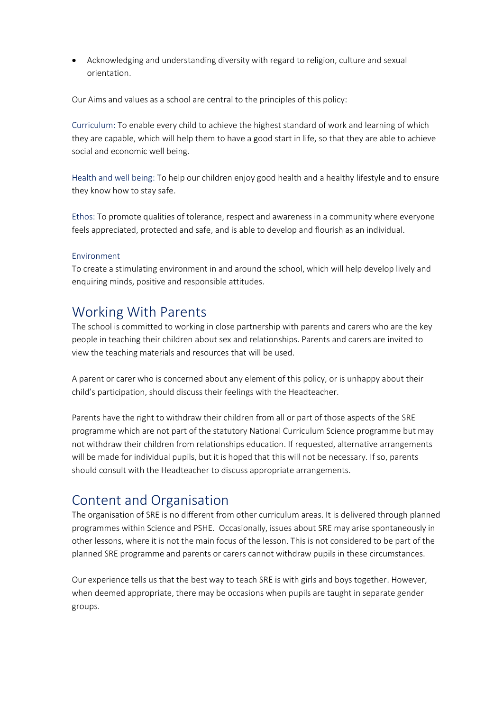• Acknowledging and understanding diversity with regard to religion, culture and sexual orientation.

Our Aims and values as a school are central to the principles of this policy:

Curriculum: To enable every child to achieve the highest standard of work and learning of which they are capable, which will help them to have a good start in life, so that they are able to achieve social and economic well being.

Health and well being: To help our children enjoy good health and a healthy lifestyle and to ensure they know how to stay safe.

Ethos: To promote qualities of tolerance, respect and awareness in a community where everyone feels appreciated, protected and safe, and is able to develop and flourish as an individual.

#### Environment

To create a stimulating environment in and around the school, which will help develop lively and enquiring minds, positive and responsible attitudes.

## Working With Parents

The school is committed to working in close partnership with parents and carers who are the key people in teaching their children about sex and relationships. Parents and carers are invited to view the teaching materials and resources that will be used.

A parent or carer who is concerned about any element of this policy, or is unhappy about their child's participation, should discuss their feelings with the Headteacher.

Parents have the right to withdraw their children from all or part of those aspects of the SRE programme which are not part of the statutory National Curriculum Science programme but may not withdraw their children from relationships education. If requested, alternative arrangements will be made for individual pupils, but it is hoped that this will not be necessary. If so, parents should consult with the Headteacher to discuss appropriate arrangements.

## Content and Organisation

The organisation of SRE is no different from other curriculum areas. It is delivered through planned programmes within Science and PSHE. Occasionally, issues about SRE may arise spontaneously in other lessons, where it is not the main focus of the lesson. This is not considered to be part of the planned SRE programme and parents or carers cannot withdraw pupils in these circumstances.

Our experience tells us that the best way to teach SRE is with girls and boys together. However, when deemed appropriate, there may be occasions when pupils are taught in separate gender groups.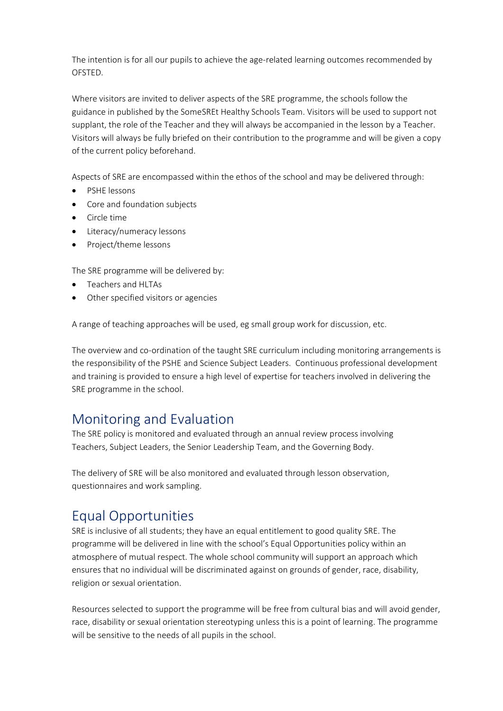The intention is for all our pupils to achieve the age-related learning outcomes recommended by OFSTED.

Where visitors are invited to deliver aspects of the SRE programme, the schools follow the guidance in published by the SomeSREt Healthy Schools Team. Visitors will be used to support not supplant, the role of the Teacher and they will always be accompanied in the lesson by a Teacher. Visitors will always be fully briefed on their contribution to the programme and will be given a copy of the current policy beforehand.

Aspects of SRE are encompassed within the ethos of the school and may be delivered through:

- PSHE lessons
- Core and foundation subjects
- Circle time
- Literacy/numeracy lessons
- Project/theme lessons

The SRE programme will be delivered by:

- Teachers and HLTAs
- Other specified visitors or agencies

A range of teaching approaches will be used, eg small group work for discussion, etc.

The overview and co-ordination of the taught SRE curriculum including monitoring arrangements is the responsibility of the PSHE and Science Subject Leaders. Continuous professional development and training is provided to ensure a high level of expertise for teachers involved in delivering the SRE programme in the school.

## Monitoring and Evaluation

The SRE policy is monitored and evaluated through an annual review process involving Teachers, Subject Leaders, the Senior Leadership Team, and the Governing Body.

The delivery of SRE will be also monitored and evaluated through lesson observation, questionnaires and work sampling.

## Equal Opportunities

SRE is inclusive of all students; they have an equal entitlement to good quality SRE. The programme will be delivered in line with the school's Equal Opportunities policy within an atmosphere of mutual respect. The whole school community will support an approach which ensures that no individual will be discriminated against on grounds of gender, race, disability, religion or sexual orientation.

Resources selected to support the programme will be free from cultural bias and will avoid gender, race, disability or sexual orientation stereotyping unless this is a point of learning. The programme will be sensitive to the needs of all pupils in the school.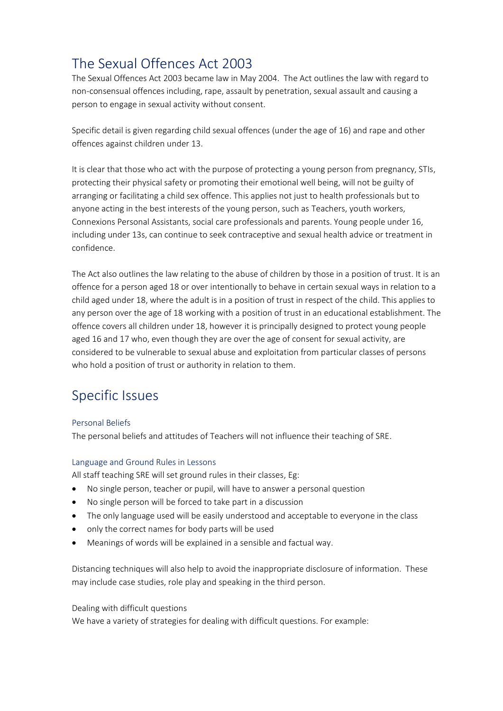## The Sexual Offences Act 2003

The Sexual Offences Act 2003 became law in May 2004. The Act outlines the law with regard to non-consensual offences including, rape, assault by penetration, sexual assault and causing a person to engage in sexual activity without consent.

Specific detail is given regarding child sexual offences (under the age of 16) and rape and other offences against children under 13.

It is clear that those who act with the purpose of protecting a young person from pregnancy, STIs, protecting their physical safety or promoting their emotional well being, will not be guilty of arranging or facilitating a child sex offence. This applies not just to health professionals but to anyone acting in the best interests of the young person, such as Teachers, youth workers, Connexions Personal Assistants, social care professionals and parents. Young people under 16, including under 13s, can continue to seek contraceptive and sexual health advice or treatment in confidence.

The Act also outlines the law relating to the abuse of children by those in a position of trust. It is an offence for a person aged 18 or over intentionally to behave in certain sexual ways in relation to a child aged under 18, where the adult is in a position of trust in respect of the child. This applies to any person over the age of 18 working with a position of trust in an educational establishment. The offence covers all children under 18, however it is principally designed to protect young people aged 16 and 17 who, even though they are over the age of consent for sexual activity, are considered to be vulnerable to sexual abuse and exploitation from particular classes of persons who hold a position of trust or authority in relation to them.

## Specific Issues

#### Personal Beliefs

The personal beliefs and attitudes of Teachers will not influence their teaching of SRE.

#### Language and Ground Rules in Lessons

All staff teaching SRE will set ground rules in their classes, Eg:

- No single person, teacher or pupil, will have to answer a personal question
- No single person will be forced to take part in a discussion
- The only language used will be easily understood and acceptable to everyone in the class
- only the correct names for body parts will be used
- Meanings of words will be explained in a sensible and factual way.

Distancing techniques will also help to avoid the inappropriate disclosure of information. These may include case studies, role play and speaking in the third person.

#### Dealing with difficult questions

We have a variety of strategies for dealing with difficult questions. For example: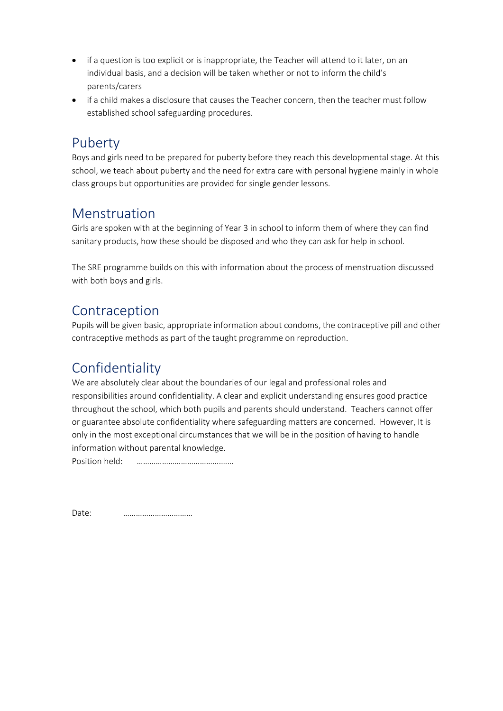- if a question is too explicit or is inappropriate, the Teacher will attend to it later, on an individual basis, and a decision will be taken whether or not to inform the child's parents/carers
- if a child makes a disclosure that causes the Teacher concern, then the teacher must follow established school safeguarding procedures.

## Puberty

Boys and girls need to be prepared for puberty before they reach this developmental stage. At this school, we teach about puberty and the need for extra care with personal hygiene mainly in whole class groups but opportunities are provided for single gender lessons.

## Menstruation

Girls are spoken with at the beginning of Year 3 in school to inform them of where they can find sanitary products, how these should be disposed and who they can ask for help in school.

The SRE programme builds on this with information about the process of menstruation discussed with both boys and girls.

## Contraception

Pupils will be given basic, appropriate information about condoms, the contraceptive pill and other contraceptive methods as part of the taught programme on reproduction.

## Confidentiality

We are absolutely clear about the boundaries of our legal and professional roles and responsibilities around confidentiality. A clear and explicit understanding ensures good practice throughout the school, which both pupils and parents should understand. Teachers cannot offer or guarantee absolute confidentiality where safeguarding matters are concerned. However, It is only in the most exceptional circumstances that we will be in the position of having to handle information without parental knowledge.

Position held: ………………………………….……

Date: ……………………………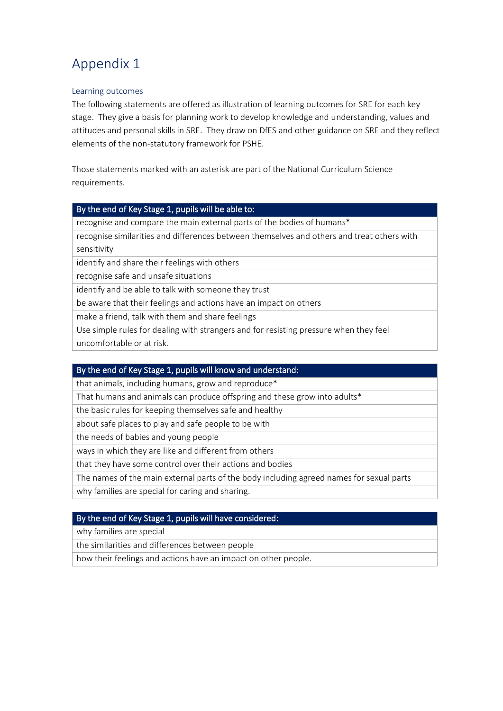## Appendix 1

#### Learning outcomes

The following statements are offered as illustration of learning outcomes for SRE for each key stage. They give a basis for planning work to develop knowledge and understanding, values and attitudes and personal skills in SRE. They draw on DfES and other guidance on SRE and they reflect elements of the non-statutory framework for PSHE.

Those statements marked with an asterisk are part of the National Curriculum Science requirements.

#### By the end of Key Stage 1, pupils will be able to:

recognise and compare the main external parts of the bodies of humans\*

recognise similarities and differences between themselves and others and treat others with sensitivity

identify and share their feelings with others

recognise safe and unsafe situations

identify and be able to talk with someone they trust

be aware that their feelings and actions have an impact on others

make a friend, talk with them and share feelings

Use simple rules for dealing with strangers and for resisting pressure when they feel uncomfortable or at risk.

#### By the end of Key Stage 1, pupils will know and understand:

that animals, including humans, grow and reproduce\*

That humans and animals can produce offspring and these grow into adults\*

the basic rules for keeping themselves safe and healthy

about safe places to play and safe people to be with

the needs of babies and young people

ways in which they are like and different from others

that they have some control over their actions and bodies

The names of the main external parts of the body including agreed names for sexual parts

why families are special for caring and sharing.

## By the end of Key Stage 1, pupils will have considered:

why families are special

the similarities and differences between people

how their feelings and actions have an impact on other people.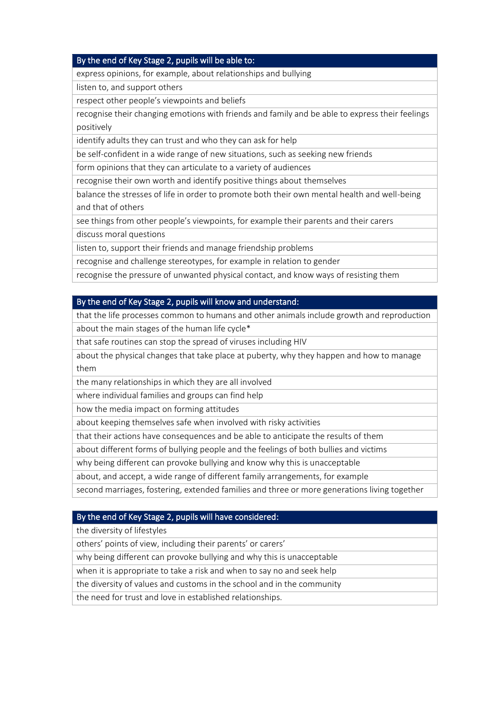#### By the end of Key Stage 2, pupils will be able to:

express opinions, for example, about relationships and bullying

listen to, and support others

respect other people's viewpoints and beliefs

recognise their changing emotions with friends and family and be able to express their feelings positively

identify adults they can trust and who they can ask for help

be self-confident in a wide range of new situations, such as seeking new friends

form opinions that they can articulate to a variety of audiences

recognise their own worth and identify positive things about themselves

balance the stresses of life in order to promote both their own mental health and well-being and that of others

see things from other people's viewpoints, for example their parents and their carers

discuss moral questions

listen to, support their friends and manage friendship problems

recognise and challenge stereotypes, for example in relation to gender

recognise the pressure of unwanted physical contact, and know ways of resisting them

### By the end of Key Stage 2, pupils will know and understand:

that the life processes common to humans and other animals include growth and reproduction about the main stages of the human life cycle\*

that safe routines can stop the spread of viruses including HIV

about the physical changes that take place at puberty, why they happen and how to manage them

the many relationships in which they are all involved

where individual families and groups can find help

how the media impact on forming attitudes

about keeping themselves safe when involved with risky activities

that their actions have consequences and be able to anticipate the results of them

about different forms of bullying people and the feelings of both bullies and victims

why being different can provoke bullying and know why this is unacceptable

about, and accept, a wide range of different family arrangements, for example

second marriages, fostering, extended families and three or more generations living together

## By the end of Key Stage 2, pupils will have considered:

the diversity of lifestyles

others' points of view, including their parents' or carers'

why being different can provoke bullying and why this is unacceptable

when it is appropriate to take a risk and when to say no and seek help

the diversity of values and customs in the school and in the community

the need for trust and love in established relationships.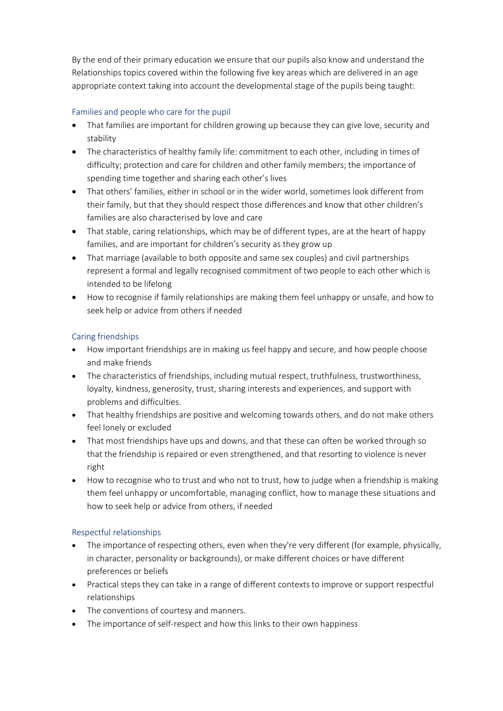By the end of their primary education we ensure that our pupils also know and understand the Relationships topics covered within the following five key areas which are delivered in an age appropriate context taking into account the developmental stage of the pupils being taught:

## Families and people who care for the pupil

- That families are important for children growing up because they can give love, security and stability
- The characteristics of healthy family life: commitment to each other, including in times of difficulty; protection and care for children and other family members; the importance of spending time together and sharing each other's lives
- That others' families, either in school or in the wider world, sometimes look different from their family, but that they should respect those differences and know that other children's families are also characterised by love and care
- That stable, caring relationships, which may be of different types, are at the heart of happy families, and are important for children's security as they grow up
- That marriage (available to both opposite and same sex couples) and civil partnerships represent a formal and legally recognised commitment of two people to each other which is intended to be lifelong
- How to recognise if family relationships are making them feel unhappy or unsafe, and how to seek help or advice from others if needed

### Caring friendships

- How important friendships are in making us feel happy and secure, and how people choose and make friends
- The characteristics of friendships, including mutual respect, truthfulness, trustworthiness, loyalty, kindness, generosity, trust, sharing interests and experiences, and support with problems and difficulties.
- That healthy friendships are positive and welcoming towards others, and do not make others feel lonely or excluded
- That most friendships have ups and downs, and that these can often be worked through so that the friendship is repaired or even strengthened, and that resorting to violence is never right
- How to recognise who to trust and who not to trust, how to judge when a friendship is making them feel unhappy or uncomfortable, managing conflict, how to manage these situations and how to seek help or advice from others, if needed

#### Respectful relationships

- The importance of respecting others, even when they're very different (for example, physically, in character, personality or backgrounds), or make different choices or have different preferences or beliefs
- Practical steps they can take in a range of different contexts to improve or support respectful relationships
- The conventions of courtesy and manners.
- The importance of self-respect and how this links to their own happiness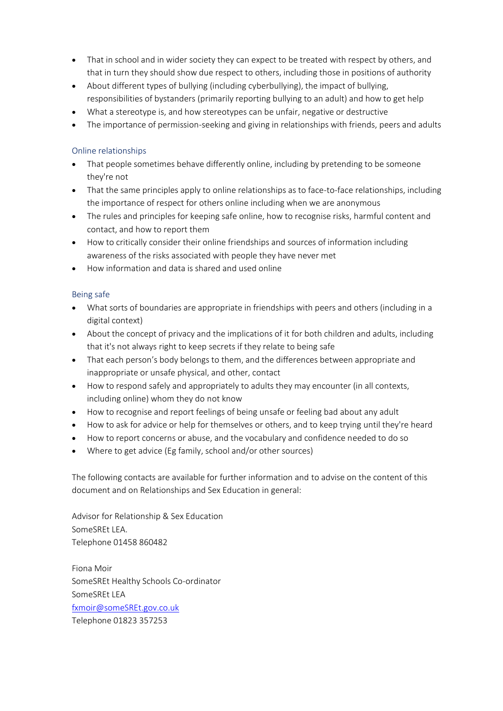- That in school and in wider society they can expect to be treated with respect by others, and that in turn they should show due respect to others, including those in positions of authority
- About different types of bullying (including cyberbullying), the impact of bullying, responsibilities of bystanders (primarily reporting bullying to an adult) and how to get help
- What a stereotype is, and how stereotypes can be unfair, negative or destructive
- The importance of permission-seeking and giving in relationships with friends, peers and adults

#### Online relationships

- That people sometimes behave differently online, including by pretending to be someone they're not
- That the same principles apply to online relationships as to face-to-face relationships, including the importance of respect for others online including when we are anonymous
- The rules and principles for keeping safe online, how to recognise risks, harmful content and contact, and how to report them
- How to critically consider their online friendships and sources of information including awareness of the risks associated with people they have never met
- How information and data is shared and used online

### Being safe

- What sorts of boundaries are appropriate in friendships with peers and others (including in a digital context)
- About the concept of privacy and the implications of it for both children and adults, including that it's not always right to keep secrets if they relate to being safe
- That each person's body belongs to them, and the differences between appropriate and inappropriate or unsafe physical, and other, contact
- How to respond safely and appropriately to adults they may encounter (in all contexts, including online) whom they do not know
- How to recognise and report feelings of being unsafe or feeling bad about any adult
- How to ask for advice or help for themselves or others, and to keep trying until they're heard
- How to report concerns or abuse, and the vocabulary and confidence needed to do so
- Where to get advice (Eg family, school and/or other sources)

The following contacts are available for further information and to advise on the content of this document and on Relationships and Sex Education in general:

Advisor for Relationship & Sex Education SomeSREt LEA. Telephone 01458 860482

Fiona Moir SomeSREt Healthy Schools Co-ordinator SomeSREt LEA [fxmoir@someSREt.gov.co.uk](mailto:fxmoir@someSREt.gov.co.uk) Telephone 01823 357253